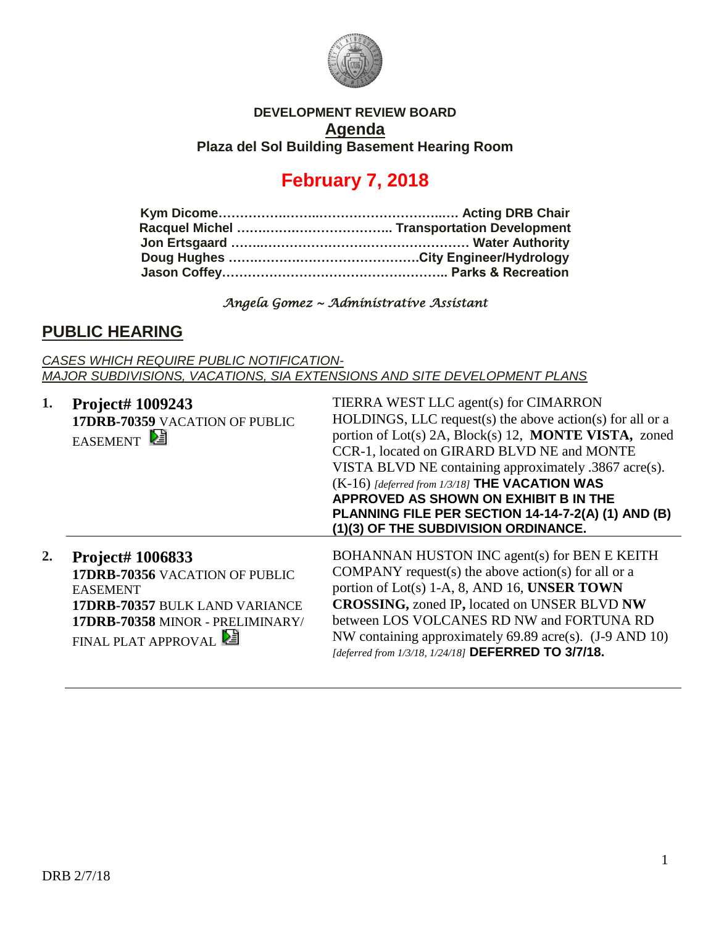

#### **DEVELOPMENT REVIEW BOARD Agenda Plaza del Sol Building Basement Hearing Room**

# **February 7, 2018**

#### *Angela Gomez ~ Administrative Assistant*

### **PUBLIC HEARING**

*CASES WHICH REQUIRE PUBLIC NOTIFICATION-MAJOR SUBDIVISIONS, VACATIONS, SIA EXTENSIONS AND SITE DEVELOPMENT PLANS*

| 1. | <b>Project# 1009243</b><br>17DRB-70359 VACATION OF PUBLIC<br><b>EASEMENT</b>                                                                                       | TIERRA WEST LLC agent(s) for CIMARRON<br>HOLDINGS, LLC request(s) the above action(s) for all or a<br>portion of Lot(s) 2A, Block(s) 12, MONTE VISTA, zoned<br>CCR-1, located on GIRARD BLVD NE and MONTE<br>VISTA BLVD NE containing approximately .3867 acre(s).<br>$(K-16)$ [deferred from 1/3/18] THE VACATION WAS<br>APPROVED AS SHOWN ON EXHIBIT B IN THE<br>PLANNING FILE PER SECTION 14-14-7-2(A) (1) AND (B)<br>(1)(3) OF THE SUBDIVISION ORDINANCE. |
|----|--------------------------------------------------------------------------------------------------------------------------------------------------------------------|---------------------------------------------------------------------------------------------------------------------------------------------------------------------------------------------------------------------------------------------------------------------------------------------------------------------------------------------------------------------------------------------------------------------------------------------------------------|
| 2. | Project# 1006833<br>17DRB-70356 VACATION OF PUBLIC<br><b>EASEMENT</b><br>17DRB-70357 BULK LAND VARIANCE<br>17DRB-70358 MINOR - PRELIMINARY/<br>FINAL PLAT APPROVAL | BOHANNAN HUSTON INC agent(s) for BEN E KEITH<br>COMPANY request(s) the above action(s) for all or a<br>portion of Lot(s) 1-A, 8, AND 16, UNSER TOWN<br><b>CROSSING, zoned IP, located on UNSER BLVD NW</b><br>between LOS VOLCANES RD NW and FORTUNA RD<br>NW containing approximately 69.89 acre(s). (J-9 AND 10)<br>[deferred from 1/3/18, 1/24/18] DEFERRED TO 3/7/18.                                                                                     |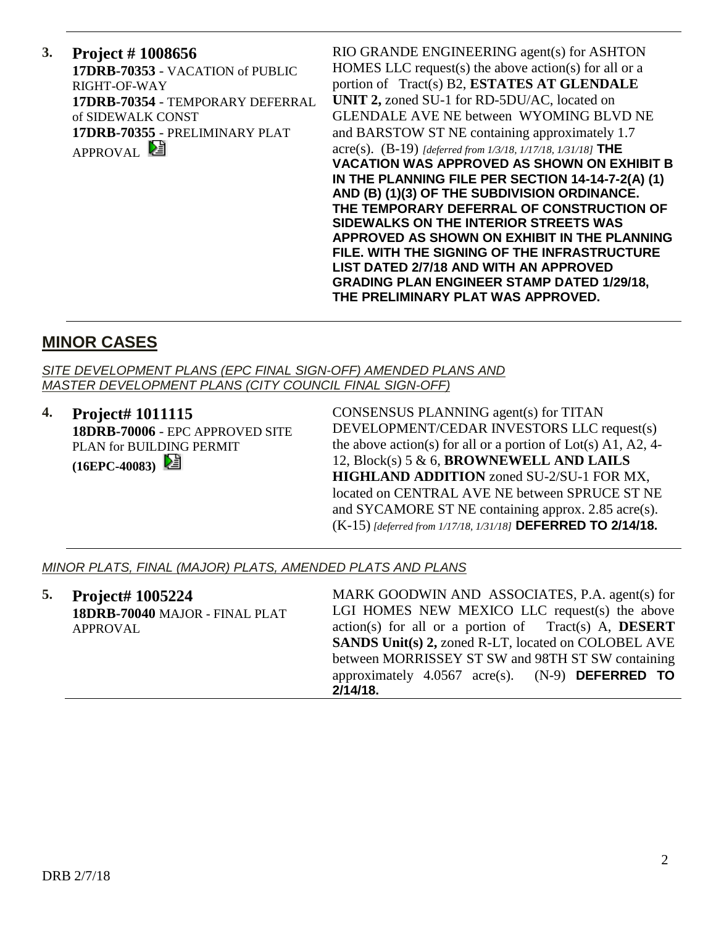**3. Project # 1008656 17DRB-70353** - VACATION of PUBLIC RIGHT-OF-WAY **17DRB-70354** - TEMPORARY DEFERRAL of SIDEWALK CONST **17DRB-70355** - PRELIMINARY PLAT APPROVAL<sup>E</sup>

RIO GRANDE ENGINEERING agent(s) for ASHTON HOMES LLC request(s) the above action(s) for all or a portion of Tract(s) B2, **ESTATES AT GLENDALE UNIT 2,** zoned SU-1 for RD-5DU/AC, located on GLENDALE AVE NE between WYOMING BLVD NE and BARSTOW ST NE containing approximately 1.7 acre(s). (B-19) *[deferred from 1/3/18, 1/17/18, 1/31/18]* **THE VACATION WAS APPROVED AS SHOWN ON EXHIBIT B IN THE PLANNING FILE PER SECTION 14-14-7-2(A) (1) AND (B) (1)(3) OF THE SUBDIVISION ORDINANCE. THE TEMPORARY DEFERRAL OF CONSTRUCTION OF SIDEWALKS ON THE INTERIOR STREETS WAS APPROVED AS SHOWN ON EXHIBIT IN THE PLANNING FILE. WITH THE SIGNING OF THE INFRASTRUCTURE LIST DATED 2/7/18 AND WITH AN APPROVED GRADING PLAN ENGINEER STAMP DATED 1/29/18, THE PRELIMINARY PLAT WAS APPROVED.**

## **MINOR CASES**

*SITE DEVELOPMENT PLANS (EPC FINAL SIGN-OFF) AMENDED PLANS AND MASTER DEVELOPMENT PLANS (CITY COUNCIL FINAL SIGN-OFF)*

**4. Project# 1011115 18DRB-70006** - EPC APPROVED SITE PLAN for BUILDING PERMIT

**(16EPC-40083)** 

CONSENSUS PLANNING agent(s) for TITAN DEVELOPMENT/CEDAR INVESTORS LLC request(s) the above action(s) for all or a portion of  $Lot(s)$  A1, A2, 4-12, Block(s) 5 & 6, **BROWNEWELL AND LAILS HIGHLAND ADDITION** zoned SU-2/SU-1 FOR MX, located on CENTRAL AVE NE between SPRUCE ST NE and SYCAMORE ST NE containing approx. 2.85 acre(s). (K-15) *[deferred from 1/17/18, 1/31/18]* **DEFERRED TO 2/14/18.**

#### *MINOR PLATS, FINAL (MAJOR) PLATS, AMENDED PLATS AND PLANS*

| 5. | <b>Project# 1005224</b>        | MARK GOODWIN AND ASSOCIATES, P.A. agent(s) for                |
|----|--------------------------------|---------------------------------------------------------------|
|    | 18DRB-70040 MAJOR - FINAL PLAT | LGI HOMES NEW MEXICO LLC request(s) the above                 |
|    | APPROVAL                       | $action(s)$ for all or a portion of Tract(s) A, <b>DESERT</b> |
|    |                                | <b>SANDS Unit(s) 2, zoned R-LT, located on COLOBEL AVE</b>    |
|    |                                | between MORRISSEY ST SW and 98TH ST SW containing             |
|    |                                | approximately $4.0567$ acre(s). (N-9) <b>DEFERRED TO</b>      |
|    |                                | $2/14/18$ .                                                   |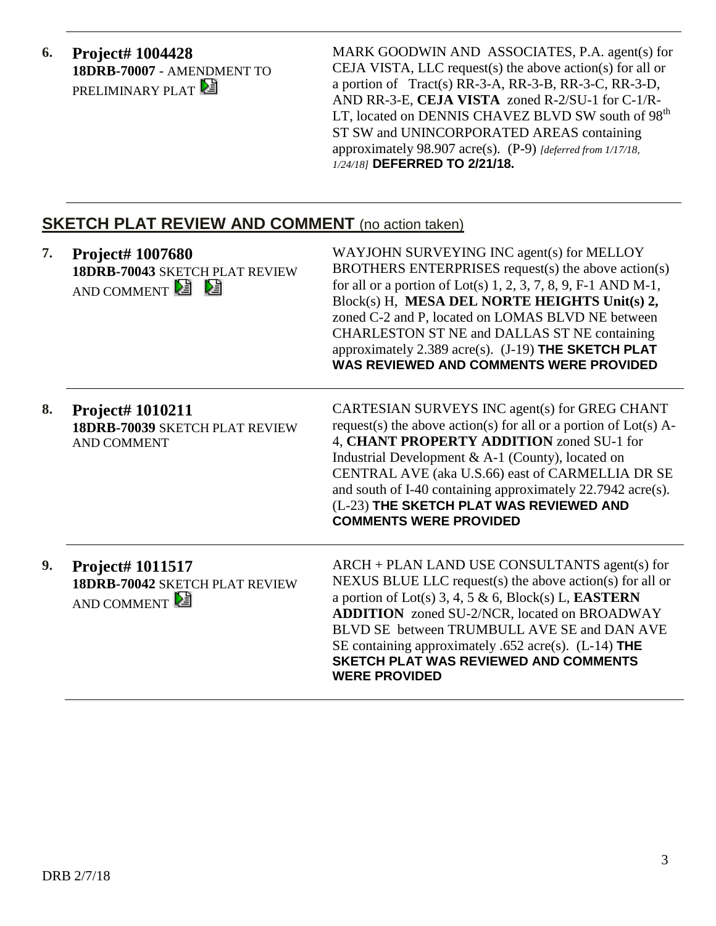**6. Project# 1004428 18DRB-70007** - AMENDMENT TO PRELIMINARY PLAT

MARK GOODWIN AND ASSOCIATES, P.A. agent(s) for CEJA VISTA, LLC request(s) the above action(s) for all or a portion of Tract(s) RR-3-A, RR-3-B, RR-3-C, RR-3-D, AND RR-3-E, **CEJA VISTA** zoned R-2/SU-1 for C-1/R-LT, located on DENNIS CHAVEZ BLVD SW south of 98<sup>th</sup> ST SW and UNINCORPORATED AREAS containing approximately 98.907 acre(s). (P-9) *[deferred from 1/17/18, 1/24/18]* **DEFERRED TO 2/21/18.**

### **SKETCH PLAT REVIEW AND COMMENT** (no action taken)

| 7. | Project# 1007680<br>18DRB-70043 SKETCH PLAT REVIEW<br>AND COMMENT               | WAYJOHN SURVEYING INC agent(s) for MELLOY<br>BROTHERS ENTERPRISES request(s) the above action(s)<br>for all or a portion of Lot(s) $1, 2, 3, 7, 8, 9, F-1$ AND M-1,<br>Block(s) H, MESA DEL NORTE HEIGHTS Unit(s) 2,<br>zoned C-2 and P, located on LOMAS BLVD NE between<br>CHARLESTON ST NE and DALLAS ST NE containing<br>approximately $2.389$ acre(s). $(J-19)$ THE SKETCH PLAT<br><b>WAS REVIEWED AND COMMENTS WERE PROVIDED</b> |
|----|---------------------------------------------------------------------------------|----------------------------------------------------------------------------------------------------------------------------------------------------------------------------------------------------------------------------------------------------------------------------------------------------------------------------------------------------------------------------------------------------------------------------------------|
| 8. | Project# 1010211<br><b>18DRB-70039 SKETCH PLAT REVIEW</b><br><b>AND COMMENT</b> | CARTESIAN SURVEYS INC agent(s) for GREG CHANT<br>request(s) the above action(s) for all or a portion of $Lot(s)$ A-<br>4, CHANT PROPERTY ADDITION zoned SU-1 for<br>Industrial Development & A-1 (County), located on<br>CENTRAL AVE (aka U.S.66) east of CARMELLIA DR SE<br>and south of I-40 containing approximately 22.7942 acre(s).<br>(L-23) THE SKETCH PLAT WAS REVIEWED AND<br><b>COMMENTS WERE PROVIDED</b>                   |
| 9. | Project# 1011517<br>18DRB-70042 SKETCH PLAT REVIEW<br>AND COMMENT               | $ARCH + PLAN$ LAND USE CONSULTANTS agent(s) for<br>NEXUS BLUE LLC request(s) the above action(s) for all or<br>a portion of Lot(s) 3, 4, 5 & 6, Block(s) L, <b>EASTERN</b><br><b>ADDITION</b> zoned SU-2/NCR, located on BROADWAY<br>BLVD SE between TRUMBULL AVE SE and DAN AVE<br>SE containing approximately .652 acre(s). (L-14) THE<br><b>SKETCH PLAT WAS REVIEWED AND COMMENTS</b><br><b>WERE PROVIDED</b>                       |